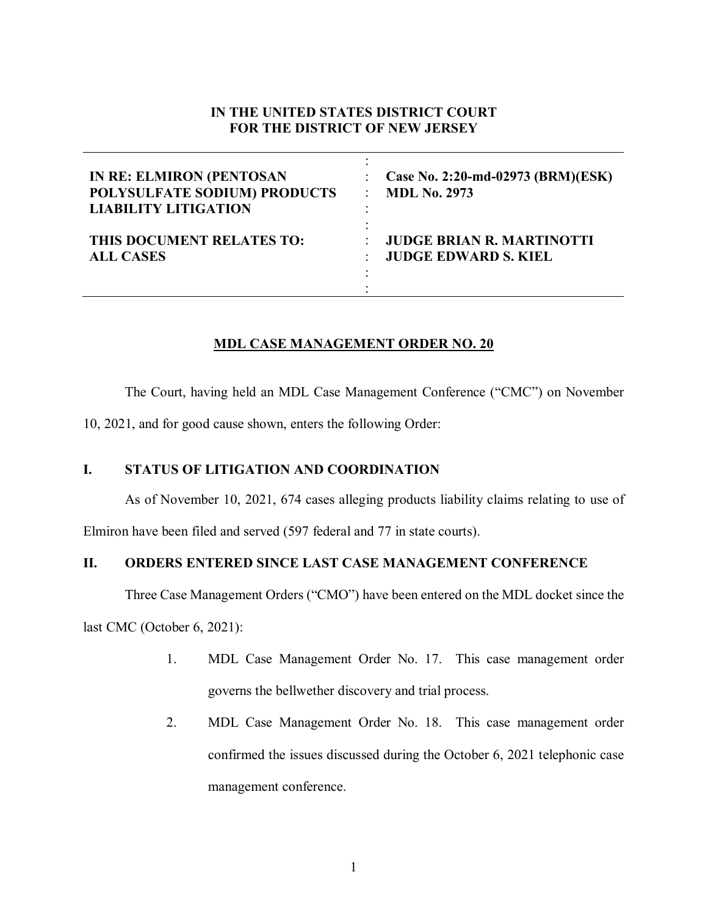# **IN THE UNITED STATES DISTRICT COURT FOR THE DISTRICT OF NEW JERSEY**

| <b>IN RE: ELMIRON (PENTOSAN</b> | Case No. 2:20-md-02973 (BRM)(ESK) |
|---------------------------------|-----------------------------------|
| POLYSULFATE SODIUM) PRODUCTS    | <b>MDL No. 2973</b>               |
| <b>LIABILITY LITIGATION</b>     | ۰                                 |
| THIS DOCUMENT RELATES TO:       | <b>JUDGE BRIAN R. MARTINOTTI</b>  |
| <b>ALL CASES</b>                | <b>JUDGE EDWARD S. KIEL</b>       |

# **MDL CASE MANAGEMENT ORDER NO. 20**

The Court, having held an MDL Case Management Conference ("CMC") on November

10, 2021, and for good cause shown, enters the following Order:

# **I. STATUS OF LITIGATION AND COORDINATION**

As of November 10, 2021, 674 cases alleging products liability claims relating to use of

Elmiron have been filed and served (597 federal and 77 in state courts).

## **II. ORDERS ENTERED SINCE LAST CASE MANAGEMENT CONFERENCE**

Three Case Management Orders ("CMO") have been entered on the MDL docket since the

last CMC (October 6, 2021):

- 1. MDL Case Management Order No. 17. This case management order governs the bellwether discovery and trial process.
- 2. MDL Case Management Order No. 18. This case management order confirmed the issues discussed during the October 6, 2021 telephonic case management conference.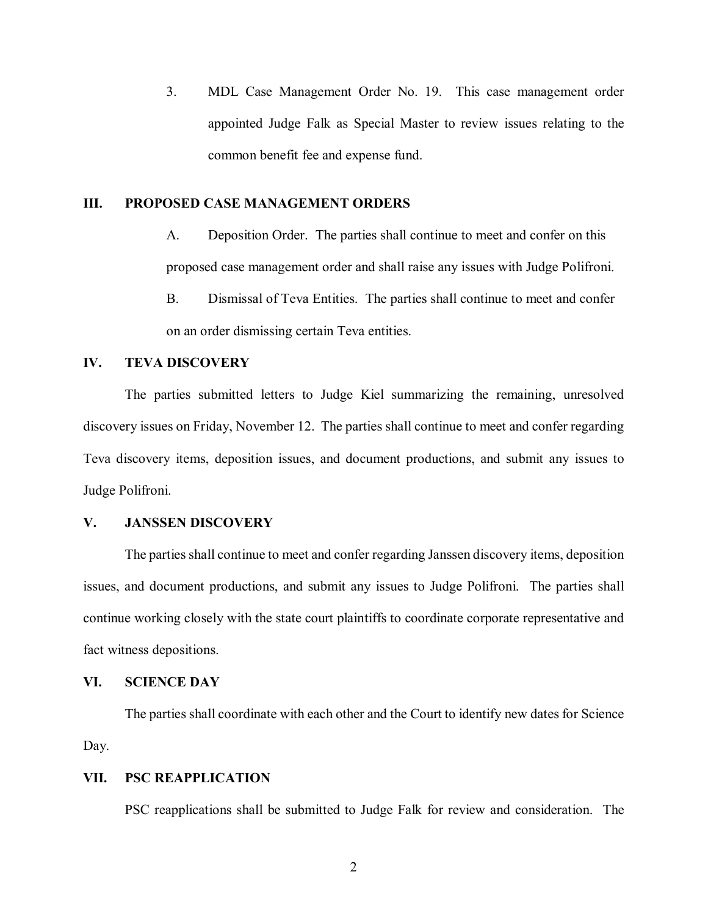3. MDL Case Management Order No. 19. This case management order appointed Judge Falk as Special Master to review issues relating to the common benefit fee and expense fund.

#### **III. PROPOSED CASE MANAGEMENT ORDERS**

- A. Deposition Order. The parties shall continue to meet and confer on this proposed case management order and shall raise any issues with Judge Polifroni.
- B. Dismissal of Teva Entities. The parties shall continue to meet and confer on an order dismissing certain Teva entities.

# **IV. TEVA DISCOVERY**

The parties submitted letters to Judge Kiel summarizing the remaining, unresolved discovery issues on Friday, November 12. The parties shall continue to meet and confer regarding Teva discovery items, deposition issues, and document productions, and submit any issues to Judge Polifroni.

# **V. JANSSEN DISCOVERY**

The parties shall continue to meet and confer regarding Janssen discovery items, deposition issues, and document productions, and submit any issues to Judge Polifroni. The parties shall continue working closely with the state court plaintiffs to coordinate corporate representative and fact witness depositions.

# **VI. SCIENCE DAY**

The parties shall coordinate with each other and the Court to identify new dates for Science Day.

# **VII. PSC REAPPLICATION**

PSC reapplications shall be submitted to Judge Falk for review and consideration. The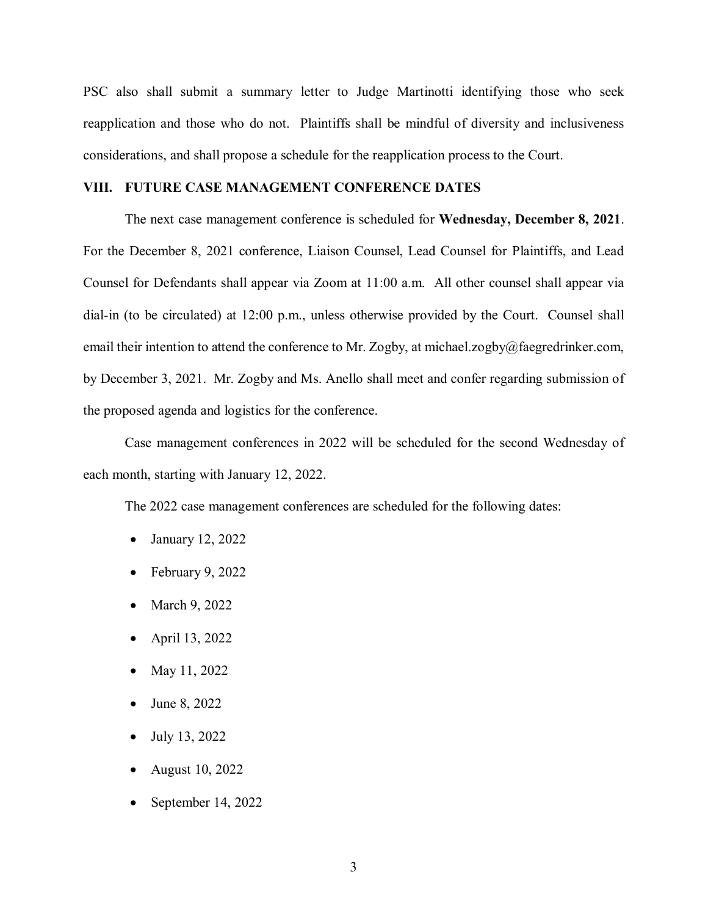PSC also shall submit a summary letter to Judge Martinotti identifying those who seek reapplication and those who do not. Plaintiffs shall be mindful of diversity and inclusiveness considerations, and shall propose a schedule for the reapplication process to the Court.

#### **VIII. FUTURE CASE MANAGEMENT CONFERENCE DATES**

The next case management conference is scheduled for **Wednesday, December 8, 2021**. For the December 8, 2021 conference, Liaison Counsel, Lead Counsel for Plaintiffs, and Lead Counsel for Defendants shall appear via Zoom at 11:00 a.m. All other counsel shall appear via dial-in (to be circulated) at 12:00 p.m., unless otherwise provided by the Court. Counsel shall email their intention to attend the conference to Mr. Zogby, at michael.zogby@faegredrinker.com, by December 3, 2021. Mr. Zogby and Ms. Anello shall meet and confer regarding submission of the proposed agenda and logistics for the conference.

Case management conferences in 2022 will be scheduled for the second Wednesday of each month, starting with January 12, 2022.

The 2022 case management conferences are scheduled for the following dates:

- January 12, 2022
- February 9, 2022
- March 9, 2022
- April 13, 2022
- May 11, 2022
- June 8, 2022
- July 13, 2022
- August 10, 2022
- September 14, 2022